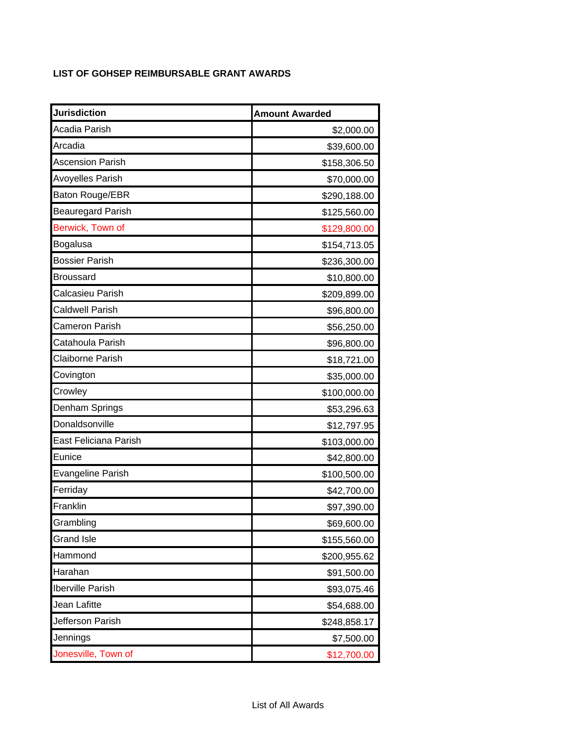## **LIST OF GOHSEP REIMBURSABLE GRANT AWARDS**

| <b>Jurisdiction</b>      | <b>Amount Awarded</b> |
|--------------------------|-----------------------|
| Acadia Parish            | \$2,000.00            |
| Arcadia                  | \$39,600.00           |
| <b>Ascension Parish</b>  | \$158,306.50          |
| <b>Avoyelles Parish</b>  | \$70,000.00           |
| Baton Rouge/EBR          | \$290,188.00          |
| <b>Beauregard Parish</b> | \$125,560.00          |
| Berwick, Town of         | \$129,800.00          |
| Bogalusa                 | \$154,713.05          |
| <b>Bossier Parish</b>    | \$236,300.00          |
| Broussard                | \$10,800.00           |
| Calcasieu Parish         | \$209,899.00          |
| <b>Caldwell Parish</b>   | \$96,800.00           |
| <b>Cameron Parish</b>    | \$56,250.00           |
| Catahoula Parish         | \$96,800.00           |
| <b>Claiborne Parish</b>  | \$18,721.00           |
| Covington                | \$35,000.00           |
| Crowley                  | \$100,000.00          |
| Denham Springs           | \$53,296.63           |
| Donaldsonville           | \$12,797.95           |
| East Feliciana Parish    | \$103,000.00          |
| Eunice                   | \$42,800.00           |
| <b>Evangeline Parish</b> | \$100,500.00          |
| Ferriday                 | \$42,700.00           |
| Franklin                 | \$97,390.00           |
| Grambling                | \$69,600.00           |
| <b>Grand Isle</b>        | \$155,560.00          |
| Hammond                  | \$200,955.62          |
| Harahan                  | \$91,500.00           |
| Iberville Parish         | \$93,075.46           |
| Jean Lafitte             | \$54,688.00           |
| Jefferson Parish         | \$248,858.17          |
| Jennings                 | \$7,500.00            |
| Jonesville, Town of      | \$12,700.00           |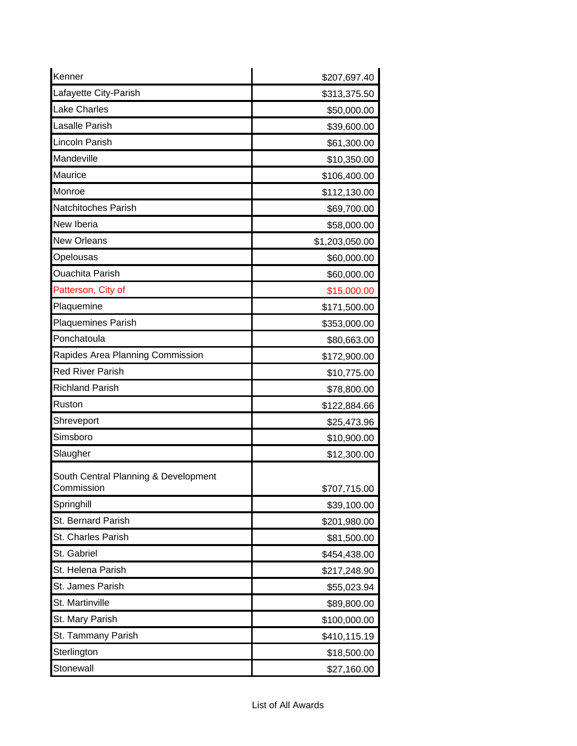| Kenner                                             | \$207,697.40   |
|----------------------------------------------------|----------------|
| Lafayette City-Parish                              | \$313,375.50   |
| Lake Charles                                       | \$50,000.00    |
| Lasalle Parish                                     | \$39,600.00    |
| Lincoln Parish                                     | \$61,300.00    |
| Mandeville                                         | \$10,350.00    |
| Maurice                                            | \$106,400.00   |
| Monroe                                             | \$112,130.00   |
| Natchitoches Parish                                | \$69,700.00    |
| New Iberia                                         | \$58,000.00    |
| <b>New Orleans</b>                                 | \$1,203,050.00 |
| Opelousas                                          | \$60,000.00    |
| <b>Ouachita Parish</b>                             | \$60,000.00    |
| Patterson, City of                                 | \$15,000.00    |
| Plaquemine                                         | \$171,500.00   |
| <b>Plaquemines Parish</b>                          | \$353,000.00   |
| Ponchatoula                                        | \$80,663.00    |
| Rapides Area Planning Commission                   | \$172,900.00   |
| <b>Red River Parish</b>                            | \$10,775.00    |
| <b>Richland Parish</b>                             | \$78,800.00    |
| Ruston                                             | \$122,884.66   |
| Shreveport                                         | \$25,473.96    |
| Simsboro                                           | \$10,900.00    |
| Slaugher                                           | \$12,300.00    |
| South Central Planning & Development<br>Commission | \$707,715.00   |
| Springhill                                         | \$39,100.00    |
| St. Bernard Parish                                 | \$201,980.00   |
| St. Charles Parish                                 | \$81,500.00    |
| St. Gabriel                                        | \$454,438.00   |
| St. Helena Parish                                  | \$217,248.90   |
| St. James Parish                                   | \$55,023.94    |
| St. Martinville                                    | \$89,800.00    |
| St. Mary Parish                                    | \$100,000.00   |
| St. Tammany Parish                                 | \$410,115.19   |
| Sterlington                                        | \$18,500.00    |
| Stonewall                                          | \$27,160.00    |